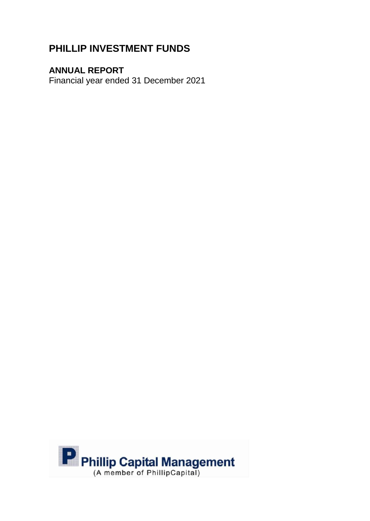# **PHILLIP INVESTMENT FUNDS**

## **ANNUAL REPORT**

Financial year ended 31 December 2021

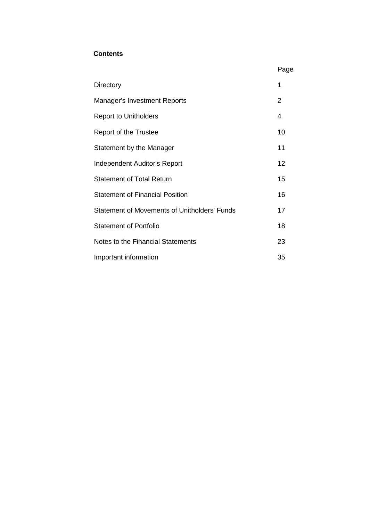## **Contents**

|                                                     | Page |
|-----------------------------------------------------|------|
| Directory                                           | 1    |
| <b>Manager's Investment Reports</b>                 | 2    |
| <b>Report to Unitholders</b>                        | 4    |
| Report of the Trustee                               | 10   |
| Statement by the Manager                            | 11   |
| Independent Auditor's Report                        | 12   |
| <b>Statement of Total Return</b>                    | 15   |
| <b>Statement of Financial Position</b>              | 16   |
| <b>Statement of Movements of Unitholders' Funds</b> | 17   |
| <b>Statement of Portfolio</b>                       | 18   |
| Notes to the Financial Statements                   | 23   |
| Important information                               | 35   |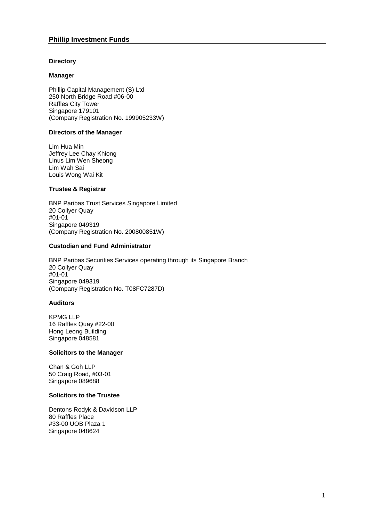## **Directory**

#### **Manager**

Phillip Capital Management (S) Ltd 250 North Bridge Road #06-00 Raffles City Tower Singapore 179101 (Company Registration No. 199905233W)

#### **Directors of the Manager**

Lim Hua Min Jeffrey Lee Chay Khiong Linus Lim Wen Sheong Lim Wah Sai Louis Wong Wai Kit

#### **Trustee & Registrar**

BNP Paribas Trust Services Singapore Limited 20 Collyer Quay #01-01 Singapore 049319 (Company Registration No. 200800851W)

#### **Custodian and Fund Administrator**

BNP Paribas Securities Services operating through its Singapore Branch 20 Collyer Quay #01-01 Singapore 049319 (Company Registration No. T08FC7287D)

#### **Auditors**

KPMG LLP 16 Raffles Quay #22-00 Hong Leong Building Singapore 048581

#### **Solicitors to the Manager**

Chan & Goh LLP 50 Craig Road, #03-01 Singapore 089688

## **Solicitors to the Trustee**

Dentons Rodyk & Davidson LLP 80 Raffles Place #33-00 UOB Plaza 1 Singapore 048624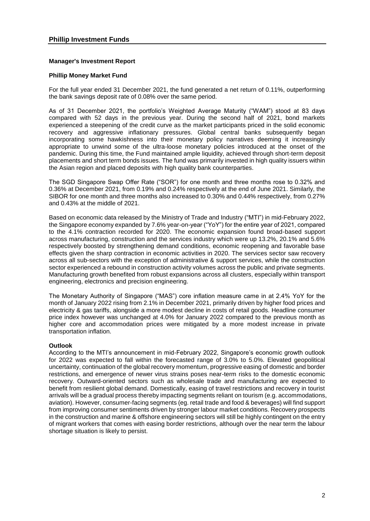#### **Manager's Investment Report**

#### **Phillip Money Market Fund**

For the full year ended 31 December 2021, the fund generated a net return of 0.11%, outperforming the bank savings deposit rate of 0.08% over the same period.

As of 31 December 2021, the portfolio's Weighted Average Maturity ("WAM") stood at 83 days compared with 52 days in the previous year. During the second half of 2021, bond markets experienced a steepening of the credit curve as the market participants priced in the solid economic recovery and aggressive inflationary pressures. Global central banks subsequently began incorporating some hawkishness into their monetary policy narratives deeming it increasingly appropriate to unwind some of the ultra-loose monetary policies introduced at the onset of the pandemic. During this time, the Fund maintained ample liquidity, achieved through short-term deposit placements and short term bonds issues. The fund was primarily invested in high quality issuers within the Asian region and placed deposits with high quality bank counterparties.

The SGD Singapore Swap Offer Rate ("SOR") for one month and three months rose to 0.32% and 0.36% at December 2021, from 0.19% and 0.24% respectively at the end of June 2021. Similarly, the SIBOR for one month and three months also increased to 0.30% and 0.44% respectively, from 0.27% and 0.43% at the middle of 2021.

Based on economic data released by the Ministry of Trade and Industry ("MTI") in mid-February 2022, the Singapore economy expanded by 7.6% year-on-year ("YoY") for the entire year of 2021, compared to the 4.1% contraction recorded for 2020. The economic expansion found broad-based support across manufacturing, construction and the services industry which were up 13.2%, 20.1% and 5.6% respectively boosted by strengthening demand conditions, economic reopening and favorable base effects given the sharp contraction in economic activities in 2020. The services sector saw recovery across all sub-sectors with the exception of administrative & support services, while the construction sector experienced a rebound in construction activity volumes across the public and private segments. Manufacturing growth benefited from robust expansions across all clusters, especially within transport engineering, electronics and precision engineering.

The Monetary Authority of Singapore ("MAS") core inflation measure came in at 2.4% YoY for the month of January 2022 rising from 2.1% in December 2021, primarily driven by higher food prices and electricity & gas tariffs, alongside a more modest decline in costs of retail goods. Headline consumer price index however was unchanged at 4.0% for January 2022 compared to the previous month as higher core and accommodation prices were mitigated by a more modest increase in private transportation inflation.

#### **Outlook**

According to the MTI's announcement in mid-February 2022, Singapore's economic growth outlook for 2022 was expected to fall within the forecasted range of 3.0% to 5.0%. Elevated geopolitical uncertainty, continuation of the global recovery momentum, progressive easing of domestic and border restrictions, and emergence of newer virus strains poses near-term risks to the domestic economic recovery. Outward-oriented sectors such as wholesale trade and manufacturing are expected to benefit from resilient global demand. Domestically, easing of travel restrictions and recovery in tourist arrivals will be a gradual process thereby impacting segments reliant on tourism (e.g. accommodations, aviation). However, consumer-facing segments (eg. retail trade and food & beverages) will find support from improving consumer sentiments driven by stronger labour market conditions. Recovery prospects in the construction and marine & offshore engineering sectors will still be highly contingent on the entry of migrant workers that comes with easing border restrictions, although over the near term the labour shortage situation is likely to persist.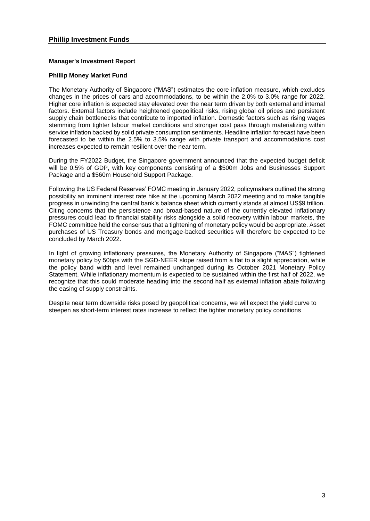#### **Manager's Investment Report**

#### **Phillip Money Market Fund**

The Monetary Authority of Singapore ("MAS") estimates the core inflation measure, which excludes changes in the prices of cars and accommodations, to be within the 2.0% to 3.0% range for 2022. Higher core inflation is expected stay elevated over the near term driven by both external and internal factors. External factors include heightened geopolitical risks, rising global oil prices and persistent supply chain bottlenecks that contribute to imported inflation. Domestic factors such as rising wages stemming from tighter labour market conditions and stronger cost pass through materializing within service inflation backed by solid private consumption sentiments. Headline inflation forecast have been forecasted to be within the 2.5% to 3.5% range with private transport and accommodations cost increases expected to remain resilient over the near term.

During the FY2022 Budget, the Singapore government announced that the expected budget deficit will be 0.5% of GDP, with key components consisting of a \$500m Jobs and Businesses Support Package and a \$560m Household Support Package.

Following the US Federal Reserves' FOMC meeting in January 2022, policymakers outlined the strong possibility an imminent interest rate hike at the upcoming March 2022 meeting and to make tangible progress in unwinding the central bank's balance sheet which currently stands at almost US\$9 trillion. Citing concerns that the persistence and broad-based nature of the currently elevated inflationary pressures could lead to financial stability risks alongside a solid recovery within labour markets, the FOMC committee held the consensus that a tightening of monetary policy would be appropriate. Asset purchases of US Treasury bonds and mortgage-backed securities will therefore be expected to be concluded by March 2022.

In light of growing inflationary pressures, the Monetary Authority of Singapore ("MAS") tightened monetary policy by 50bps with the SGD-NEER slope raised from a flat to a slight appreciation, while the policy band width and level remained unchanged during its October 2021 Monetary Policy Statement. While inflationary momentum is expected to be sustained within the first half of 2022, we recognize that this could moderate heading into the second half as external inflation abate following the easing of supply constraints.

Despite near term downside risks posed by geopolitical concerns, we will expect the yield curve to steepen as short-term interest rates increase to reflect the tighter monetary policy conditions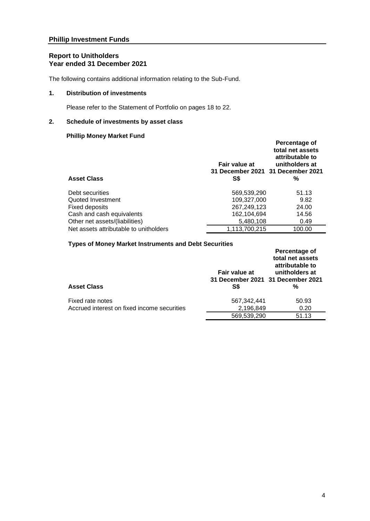## **Report to Unitholders Year ended 31 December 2021**

The following contains additional information relating to the Sub-Fund.

## **1. Distribution of investments**

Please refer to the Statement of Portfolio on pages 18 to 22.

## **2. Schedule of investments by asset class**

## **Phillip Money Market Fund**

| <b>Asset Class</b>                     | Fair value at<br>31 December 2021 31 December 2021<br>S\$ | Percentage of<br>total net assets<br>attributable to<br>unitholders at<br>% |
|----------------------------------------|-----------------------------------------------------------|-----------------------------------------------------------------------------|
| Debt securities                        | 569,539,290                                               | 51.13                                                                       |
| Quoted Investment                      | 109,327,000                                               | 9.82                                                                        |
| Fixed deposits                         | 267,249,123                                               | 24.00                                                                       |
| Cash and cash equivalents              | 162,104,694                                               | 14.56                                                                       |
| Other net assets/(liabilities)         | 5,480,108                                                 | 0.49                                                                        |
| Net assets attributable to unitholders | 1,113,700,215                                             | 100.00                                                                      |

## **Types of Money Market Instruments and Debt Securities**

| <b>Asset Class</b>                                              | Fair value at<br>31 December 2021 31 December 2021<br>S\$ | Percentage of<br>total net assets<br>attributable to<br>unitholders at<br>% |
|-----------------------------------------------------------------|-----------------------------------------------------------|-----------------------------------------------------------------------------|
| Fixed rate notes<br>Accrued interest on fixed income securities | 567,342,441<br>2,196,849                                  | 50.93<br>0.20                                                               |
|                                                                 | 569.539.290                                               | 51.13                                                                       |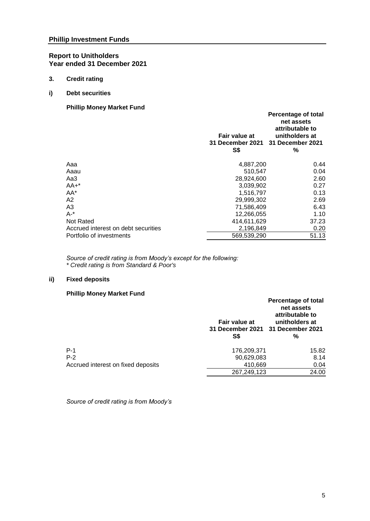## **Report to Unitholders Year ended 31 December 2021**

- **3. Credit rating**
- **i) Debt securities**

## **Phillip Money Market Fund**

|                                     | Fair value at<br>31 December 2021 31 December 2021<br>S\$ | Percentage of total<br>net assets<br>attributable to<br>unitholders at<br>% |
|-------------------------------------|-----------------------------------------------------------|-----------------------------------------------------------------------------|
| Aaa                                 | 4,887,200                                                 | 0.44                                                                        |
| Aaau                                | 510,547                                                   | 0.04                                                                        |
| Aa3                                 | 28,924,600                                                | 2.60                                                                        |
| $AA+^*$                             | 3,039,902                                                 | 0.27                                                                        |
| $AA^*$                              | 1,516,797                                                 | 0.13                                                                        |
| A2                                  | 29,999,302                                                | 2.69                                                                        |
| A <sub>3</sub>                      | 71,586,409                                                | 6.43                                                                        |
| $A^{-*}$                            | 12,266,055                                                | 1.10                                                                        |
| Not Rated                           | 414,611,629                                               | 37.23                                                                       |
| Accrued interest on debt securities | 2,196,849                                                 | 0.20                                                                        |
| Portfolio of investments            | 569,539,290                                               | 51.13                                                                       |

*Source of credit rating is from Moody's except for the following: \* Credit rating is from Standard & Poor's*

## **ii) Fixed deposits**

## **Phillip Money Market Fund**

|                                    | Fair value at<br>31 December 2021 31 December 2021<br>S\$ | <b>Percentage of total</b><br>net assets<br>attributable to<br>unitholders at<br>% |
|------------------------------------|-----------------------------------------------------------|------------------------------------------------------------------------------------|
| $P-1$                              | 176,209,371                                               | 15.82                                                                              |
| $P-2$                              | 90,629,083                                                | 8.14                                                                               |
| Accrued interest on fixed deposits | 410,669                                                   | 0.04                                                                               |
|                                    | 267,249,123                                               | 24.00                                                                              |

*Source of credit rating is from Moody's*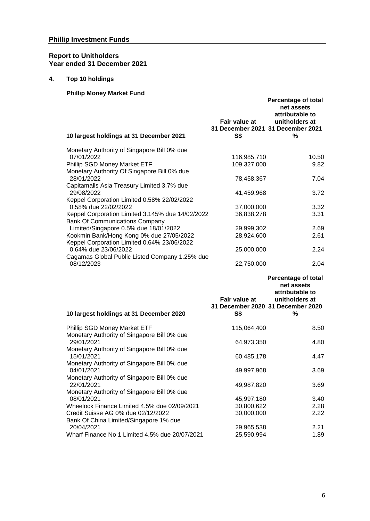## **4. Top 10 holdings**

**Phillip Money Market Fund**

| 10 largest holdings at 31 December 2021                             | Fair value at<br>31 December 2021 31 December 2021<br>S\$ | <b>Percentage of total</b><br>net assets<br>attributable to<br>unitholders at<br>% |
|---------------------------------------------------------------------|-----------------------------------------------------------|------------------------------------------------------------------------------------|
| Monetary Authority of Singapore Bill 0% due                         |                                                           |                                                                                    |
| 07/01/2022                                                          | 116,985,710                                               | 10.50                                                                              |
| Phillip SGD Money Market ETF                                        | 109,327,000                                               | 9.82                                                                               |
| Monetary Authority Of Singapore Bill 0% due                         |                                                           |                                                                                    |
| 28/01/2022                                                          | 78,458,367                                                | 7.04                                                                               |
| Capitamalls Asia Treasury Limited 3.7% due                          |                                                           |                                                                                    |
| 29/08/2022<br>Keppel Corporation Limited 0.58% 22/02/2022           | 41,459,968                                                | 3.72                                                                               |
| 0.58% due 22/02/2022                                                | 37,000,000                                                | 3.32                                                                               |
| Keppel Corporation Limited 3.145% due 14/02/2022                    | 36,838,278                                                | 3.31                                                                               |
| <b>Bank Of Communications Company</b>                               |                                                           |                                                                                    |
| Limited/Singapore 0.5% due 18/01/2022                               | 29,999,302                                                | 2.69                                                                               |
| Kookmin Bank/Hong Kong 0% due 27/05/2022                            | 28,924,600                                                | 2.61                                                                               |
| Keppel Corporation Limited 0.64% 23/06/2022<br>0.64% due 23/06/2022 | 25,000,000                                                | 2.24                                                                               |
| Cagamas Global Public Listed Company 1.25% due                      |                                                           |                                                                                    |
| 08/12/2023                                                          | 22,750,000                                                | 2.04                                                                               |
|                                                                     |                                                           |                                                                                    |
|                                                                     |                                                           | <b>Percentage of total</b><br>net assets                                           |
|                                                                     |                                                           | attributable to                                                                    |
| 10 largest holdings at 31 December 2020                             | Fair value at<br><b>S\$</b>                               | unitholders at<br>31 December 2020 31 December 2020<br>%                           |
|                                                                     |                                                           |                                                                                    |
| Phillip SGD Money Market ETF                                        | 115,064,400                                               | 8.50                                                                               |
| Monetary Authority of Singapore Bill 0% due                         |                                                           |                                                                                    |
| 29/01/2021<br>Monetary Authority of Singapore Bill 0% due           | 64,973,350                                                | 4.80                                                                               |
| 15/01/2021                                                          | 60,485,178                                                | 4.47                                                                               |
| Monetary Authority of Singapore Bill 0% due                         |                                                           |                                                                                    |
| 04/01/2021                                                          | 49,997,968                                                | 3.69                                                                               |
| Monetary Authority of Singapore Bill 0% due                         |                                                           |                                                                                    |
| 22/01/2021                                                          | 49,987,820                                                | 3.69                                                                               |
| Monetary Authority of Singapore Bill 0% due<br>08/01/2021           | 45,997,180                                                | 3.40                                                                               |
| Wheelock Finance Limited 4.5% due 02/09/2021                        | 30,800,622                                                | 2.28                                                                               |
| Credit Suisse AG 0% due 02/12/2022                                  | 30,000,000                                                | 2.22                                                                               |
| Bank Of China Limited/Singapore 1% due<br>20/04/2021                | 29,965,538                                                | 2.21                                                                               |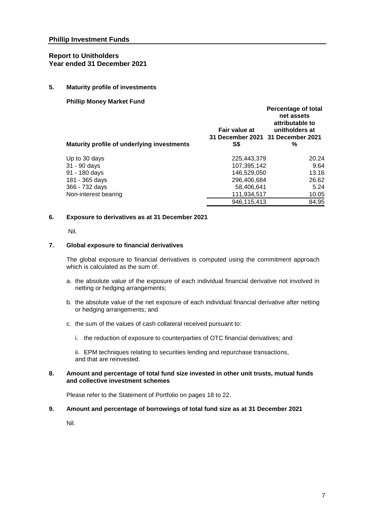**5. Maturity profile of investments**

| <b>Phillip Money Market Fund</b> |  |
|----------------------------------|--|
|                                  |  |

| Maturity profile of underlying investments | Fair value at<br>31 December 2021 31 December 2021<br>S\$ | <b>Percentage of total</b><br>net assets<br>attributable to<br>unitholders at<br>% |
|--------------------------------------------|-----------------------------------------------------------|------------------------------------------------------------------------------------|
| Up to 30 days                              | 225.443.379                                               | 20.24                                                                              |
| 31 - 90 days                               | 107,395,142                                               | 9.64                                                                               |
| 91 - 180 days                              | 146.529.050                                               | 13.16                                                                              |
| 181 - 365 days                             | 296.406.684                                               | 26.62                                                                              |
| 366 - 732 days                             | 58.406.641                                                | 5.24                                                                               |
| Non-interest bearing                       | 111,934,517                                               | 10.05                                                                              |
|                                            | 946,115,413                                               | 84.95                                                                              |

#### **6. Exposure to derivatives as at 31 December 2021**

Nil.

#### **7. Global exposure to financial derivatives**

The global exposure to financial derivatives is computed using the commitment approach which is calculated as the sum of:

- a. the absolute value of the exposure of each individual financial derivative not involved in netting or hedging arrangements;
- b. the absolute value of the net exposure of each individual financial derivative after netting or hedging arrangements; and
- c. the sum of the values of cash collateral received pursuant to:
	- i. the reduction of exposure to counterparties of OTC financial derivatives; and

ii. EPM techniques relating to securities lending and repurchase transactions, and that are reinvested.

#### **8. Amount and percentage of total fund size invested in other unit trusts, mutual funds and collective investment schemes**

Please refer to the Statement of Portfolio on pages 18 to 22.

## **9. Amount and percentage of borrowings of total fund size as at 31 December 2021**

Nil.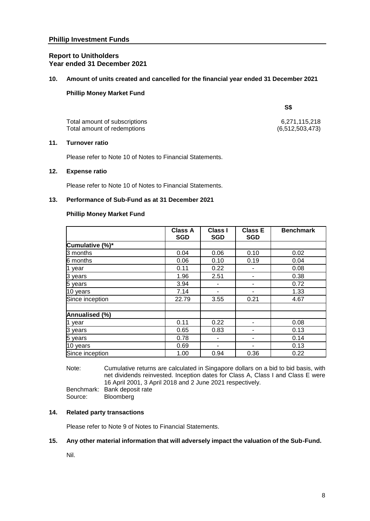## **10. Amount of units created and cancelled for the financial year ended 31 December 2021**

## **Phillip Money Market Fund**

**S\$**

| 6,271,115,218   |
|-----------------|
| (6,512,503,473) |
|                 |

## **11. Turnover ratio**

Please refer to Note 10 of Notes to Financial Statements.

#### **12. Expense ratio**

Please refer to Note 10 of Notes to Financial Statements.

#### **13. Performance of Sub-Fund as at 31 December 2021**

#### **Phillip Money Market Fund**

|                 | <b>Class A</b><br><b>SGD</b> | <b>Class I</b><br><b>SGD</b> | <b>Class E</b><br><b>SGD</b> | <b>Benchmark</b> |
|-----------------|------------------------------|------------------------------|------------------------------|------------------|
| Cumulative (%)* |                              |                              |                              |                  |
| 3 months        | 0.04                         | 0.06                         | 0.10                         | 0.02             |
| 6 months        | 0.06                         | 0.10                         | 0.19                         | 0.04             |
| 1 year          | 0.11                         | 0.22                         |                              | 0.08             |
| 3 years         | 1.96                         | 2.51                         |                              | 0.38             |
| 5 years         | 3.94                         | ۰                            |                              | 0.72             |
| 10 years        | 7.14                         |                              |                              | 1.33             |
| Since inception | 22.79                        | 3.55                         | 0.21                         | 4.67             |
| Annualised (%)  |                              |                              |                              |                  |
| 1 year          | 0.11                         | 0.22                         |                              | 0.08             |
| 3 years         | 0.65                         | 0.83                         |                              | 0.13             |
| 5 years         | 0.78                         |                              |                              | 0.14             |
| 10 years        | 0.69                         |                              |                              | 0.13             |
| Since inception | 1.00                         | 0.94                         | 0.36                         | 0.22             |

Note: Cumulative returns are calculated in Singapore dollars on a bid to bid basis, with net dividends reinvested. Inception dates for Class A, Class I and Class E were 16 April 2001, 3 April 2018 and 2 June 2021 respectively. Benchmark: Bank deposit rate

Source: Bloomberg

#### **14. Related party transactions**

Please refer to Note 9 of Notes to Financial Statements.

#### **15. Any other material information that will adversely impact the valuation of the Sub-Fund.**

Nil.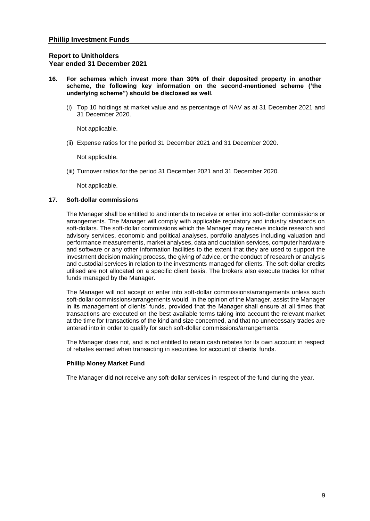- **16. For schemes which invest more than 30% of their deposited property in another scheme, the following key information on the second-mentioned scheme ('the underlying scheme") should be disclosed as well.**
	- (i) Top 10 holdings at market value and as percentage of NAV as at 31 December 2021 and 31 December 2020.

Not applicable.

(ii) Expense ratios for the period 31 December 2021 and 31 December 2020.

Not applicable.

(iii) Turnover ratios for the period 31 December 2021 and 31 December 2020.

Not applicable.

#### **17. Soft-dollar commissions**

The Manager shall be entitled to and intends to receive or enter into soft-dollar commissions or arrangements. The Manager will comply with applicable regulatory and industry standards on soft-dollars. The soft-dollar commissions which the Manager may receive include research and advisory services, economic and political analyses, portfolio analyses including valuation and performance measurements, market analyses, data and quotation services, computer hardware and software or any other information facilities to the extent that they are used to support the investment decision making process, the giving of advice, or the conduct of research or analysis and custodial services in relation to the investments managed for clients. The soft-dollar credits utilised are not allocated on a specific client basis. The brokers also execute trades for other funds managed by the Manager.

The Manager will not accept or enter into soft-dollar commissions/arrangements unless such soft-dollar commissions/arrangements would, in the opinion of the Manager, assist the Manager in its management of clients' funds, provided that the Manager shall ensure at all times that transactions are executed on the best available terms taking into account the relevant market at the time for transactions of the kind and size concerned, and that no unnecessary trades are entered into in order to qualify for such soft-dollar commissions/arrangements.

The Manager does not, and is not entitled to retain cash rebates for its own account in respect of rebates earned when transacting in securities for account of clients' funds.

#### **Phillip Money Market Fund**

The Manager did not receive any soft-dollar services in respect of the fund during the year.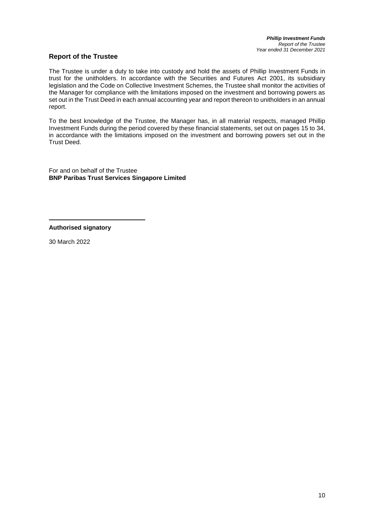## **Report of the Trustee**

The Trustee is under a duty to take into custody and hold the assets of Phillip Investment Funds in trust for the unitholders. In accordance with the Securities and Futures Act 2001, its subsidiary legislation and the Code on Collective Investment Schemes, the Trustee shall monitor the activities of the Manager for compliance with the limitations imposed on the investment and borrowing powers as set out in the Trust Deed in each annual accounting year and report thereon to unitholders in an annual report.

To the best knowledge of the Trustee, the Manager has, in all material respects, managed Phillip Investment Funds during the period covered by these financial statements, set out on pages 15 to 34, in accordance with the limitations imposed on the investment and borrowing powers set out in the Trust Deed.

For and on behalf of the Trustee **BNP Paribas Trust Services Singapore Limited**

**Authorised signatory**

30 March 2022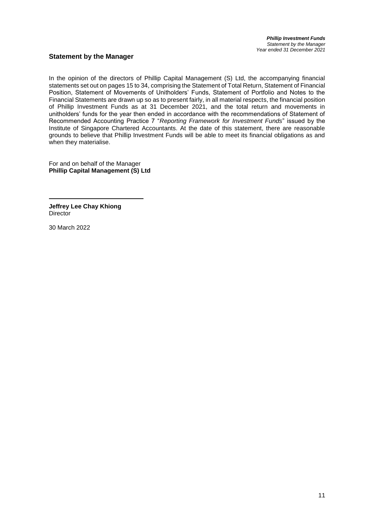## **Statement by the Manager**

In the opinion of the directors of Phillip Capital Management (S) Ltd, the accompanying financial statements set out on pages 15 to 34, comprising the Statement of Total Return, Statement of Financial Position, Statement of Movements of Unitholders' Funds, Statement of Portfolio and Notes to the Financial Statements are drawn up so as to present fairly, in all material respects, the financial position of Phillip Investment Funds as at 31 December 2021, and the total return and movements in unitholders' funds for the year then ended in accordance with the recommendations of Statement of Recommended Accounting Practice 7 "*Reporting Framework for Investment Funds*" issued by the Institute of Singapore Chartered Accountants. At the date of this statement, there are reasonable grounds to believe that Phillip Investment Funds will be able to meet its financial obligations as and when they materialise.

For and on behalf of the Manager **Phillip Capital Management (S) Ltd**

**Jeffrey Lee Chay Khiong Director** 

30 March 2022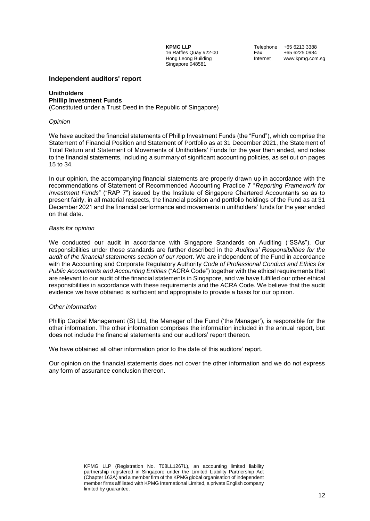Hong Leong Building Singapore 048581

**KPMG LLP** Telephone +65 6213 3388<br>16 Raffles Quay #22-00 Fax +65 6225 0984 16 Raffles Quay #22-00 Fax +65 6225 0984<br>
Hong Leong Building The Internet www.kpmg.com.sg

#### **Independent auditors' report**

#### **Unitholders Phillip Investment Funds**

(Constituted under a Trust Deed in the Republic of Singapore)

#### *Opinion*

We have audited the financial statements of Phillip Investment Funds (the "Fund"), which comprise the Statement of Financial Position and Statement of Portfolio as at 31 December 2021, the Statement of Total Return and Statement of Movements of Unitholders' Funds for the year then ended, and notes to the financial statements, including a summary of significant accounting policies, as set out on pages 15 to 34.

In our opinion, the accompanying financial statements are properly drawn up in accordance with the recommendations of Statement of Recommended Accounting Practice 7 "*Reporting Framework for Investment Funds*" ("RAP 7") issued by the Institute of Singapore Chartered Accountants so as to present fairly, in all material respects, the financial position and portfolio holdings of the Fund as at 31 December 2021 and the financial performance and movements in unitholders' funds for the year ended on that date.

#### *Basis for opinion*

We conducted our audit in accordance with Singapore Standards on Auditing ("SSAs"). Our responsibilities under those standards are further described in the *Auditors' Responsibilities for the audit of the financial statements section of our report*. We are independent of the Fund in accordance with the Accounting and Corporate Regulatory Authority *Code of Professional Conduct and Ethics for Public Accountants and Accounting Entities* ("ACRA Code") together with the ethical requirements that are relevant to our audit of the financial statements in Singapore, and we have fulfilled our other ethical responsibilities in accordance with these requirements and the ACRA Code. We believe that the audit evidence we have obtained is sufficient and appropriate to provide a basis for our opinion.

#### *Other information*

Phillip Capital Management (S) Ltd, the Manager of the Fund ('the Manager'), is responsible for the other information. The other information comprises the information included in the annual report, but does not include the financial statements and our auditors' report thereon.

We have obtained all other information prior to the date of this auditors' report.

Our opinion on the financial statements does not cover the other information and we do not express any form of assurance conclusion thereon.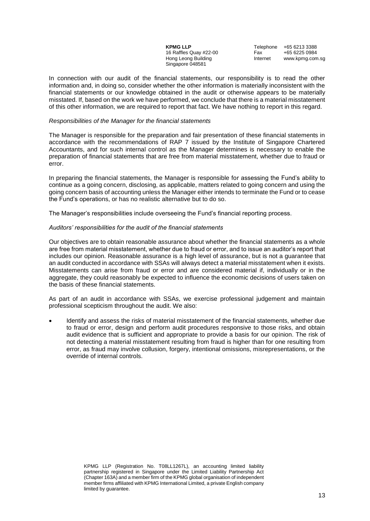| <b>KPMG LLP</b>        |  |
|------------------------|--|
| 16 Raffles Quay #22-00 |  |
| Hong Leong Building    |  |
| Singapore 048581       |  |

**KPMG LLP** Telephone +65 6213 3388<br>16 Raffles Quay #22-00 Fax +65 6225 0984 16 Raffles Quay #22-00 Fax +65 6225 0984<br>
Hong Leong Building Thernet www.kpmg.com www.kpmg.com.sg

In connection with our audit of the financial statements, our responsibility is to read the other information and, in doing so, consider whether the other information is materially inconsistent with the financial statements or our knowledge obtained in the audit or otherwise appears to be materially misstated. If, based on the work we have performed, we conclude that there is a material misstatement of this other information, we are required to report that fact. We have nothing to report in this regard.

#### *Responsibilities of the Manager for the financial statements*

The Manager is responsible for the preparation and fair presentation of these financial statements in accordance with the recommendations of RAP 7 issued by the Institute of Singapore Chartered Accountants, and for such internal control as the Manager determines is necessary to enable the preparation of financial statements that are free from material misstatement, whether due to fraud or error.

In preparing the financial statements, the Manager is responsible for assessing the Fund's ability to continue as a going concern, disclosing, as applicable, matters related to going concern and using the going concern basis of accounting unless the Manager either intends to terminate the Fund or to cease the Fund's operations, or has no realistic alternative but to do so.

The Manager's responsibilities include overseeing the Fund's financial reporting process.

#### *Auditors' responsibilities for the audit of the financial statements*

Our objectives are to obtain reasonable assurance about whether the financial statements as a whole are free from material misstatement, whether due to fraud or error, and to issue an auditor's report that includes our opinion. Reasonable assurance is a high level of assurance, but is not a guarantee that an audit conducted in accordance with SSAs will always detect a material misstatement when it exists. Misstatements can arise from fraud or error and are considered material if, individually or in the aggregate, they could reasonably be expected to influence the economic decisions of users taken on the basis of these financial statements.

As part of an audit in accordance with SSAs, we exercise professional judgement and maintain professional scepticism throughout the audit. We also:

• Identify and assess the risks of material misstatement of the financial statements, whether due to fraud or error, design and perform audit procedures responsive to those risks, and obtain audit evidence that is sufficient and appropriate to provide a basis for our opinion. The risk of not detecting a material misstatement resulting from fraud is higher than for one resulting from error, as fraud may involve collusion, forgery, intentional omissions, misrepresentations, or the override of internal controls.

> KPMG LLP (Registration No. T08LL1267L), an accounting limited liability partnership registered in Singapore under the Limited Liability Partnership Act (Chapter 163A) and a member firm of the KPMG global organisation of independent member firms affiliated with KPMG International Limited, a private English company limited by guarantee.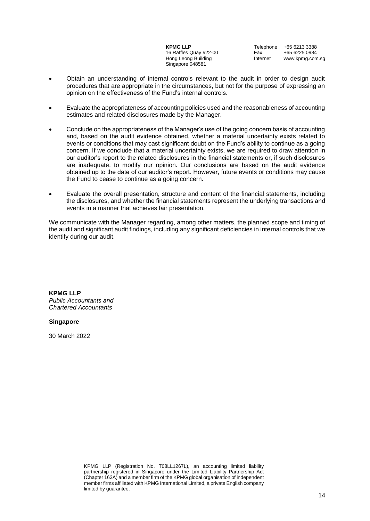| <b>KPMG LLP</b>        | Telephone | +65 6213 3388   |
|------------------------|-----------|-----------------|
| 16 Raffles Quay #22-00 | Fax       | +65 6225 0984   |
| Hong Leong Building    | Internet  | www.kpmg.com.sq |
| Singapore 048581       |           |                 |

- Obtain an understanding of internal controls relevant to the audit in order to design audit procedures that are appropriate in the circumstances, but not for the purpose of expressing an opinion on the effectiveness of the Fund's internal controls.
- Evaluate the appropriateness of accounting policies used and the reasonableness of accounting estimates and related disclosures made by the Manager.
- Conclude on the appropriateness of the Manager's use of the going concern basis of accounting and, based on the audit evidence obtained, whether a material uncertainty exists related to events or conditions that may cast significant doubt on the Fund's ability to continue as a going concern. If we conclude that a material uncertainty exists, we are required to draw attention in our auditor's report to the related disclosures in the financial statements or, if such disclosures are inadequate, to modify our opinion. Our conclusions are based on the audit evidence obtained up to the date of our auditor's report. However, future events or conditions may cause the Fund to cease to continue as a going concern.
- Evaluate the overall presentation, structure and content of the financial statements, including the disclosures, and whether the financial statements represent the underlying transactions and events in a manner that achieves fair presentation.

We communicate with the Manager regarding, among other matters, the planned scope and timing of the audit and significant audit findings, including any significant deficiencies in internal controls that we identify during our audit.

**KPMG LLP** *Public Accountants and Chartered Accountants*

#### **Singapore**

30 March 2022

KPMG LLP (Registration No. T08LL1267L), an accounting limited liability partnership registered in Singapore under the Limited Liability Partnership Act (Chapter 163A) and a member firm of the KPMG global organisation of independent member firms affiliated with KPMG International Limited, a private English company limited by guarantee.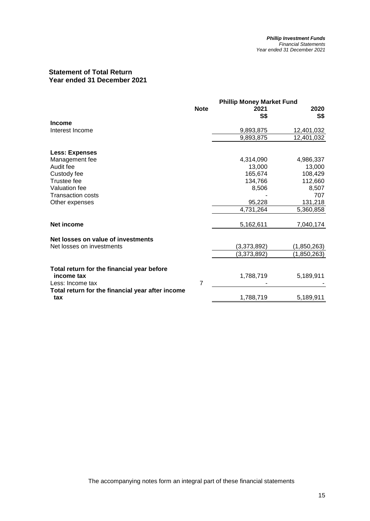## **Statement of Total Return Year ended 31 December 2021**

|                                                  |                | <b>Phillip Money Market Fund</b> |             |  |
|--------------------------------------------------|----------------|----------------------------------|-------------|--|
|                                                  | <b>Note</b>    | 2021                             | 2020        |  |
|                                                  |                | S\$                              | S\$         |  |
| <b>Income</b>                                    |                |                                  |             |  |
| Interest Income                                  |                | 9,893,875                        | 12,401,032  |  |
|                                                  |                | 9,893,875                        | 12,401,032  |  |
| <b>Less: Expenses</b>                            |                |                                  |             |  |
| Management fee                                   |                | 4,314,090                        | 4,986,337   |  |
| Audit fee                                        |                | 13,000                           | 13,000      |  |
| Custody fee                                      |                | 165,674                          | 108,429     |  |
| Trustee fee                                      |                | 134,766                          | 112,660     |  |
| Valuation fee                                    |                | 8,506                            | 8,507       |  |
| <b>Transaction costs</b>                         |                |                                  | 707         |  |
| Other expenses                                   |                | 95,228                           | 131,218     |  |
|                                                  |                | 4,731,264                        | 5,360,858   |  |
| <b>Net income</b>                                |                | 5,162,611                        | 7,040,174   |  |
| Net losses on value of investments               |                |                                  |             |  |
| Net losses on investments                        |                | (3,373,892)                      | (1,850,263) |  |
|                                                  |                | (3,373,892)                      | (1,850,263) |  |
| Total return for the financial year before       |                |                                  |             |  |
| income tax                                       |                | 1,788,719                        | 5,189,911   |  |
| Less: Income tax                                 | $\overline{7}$ |                                  |             |  |
| Total return for the financial year after income |                |                                  |             |  |
| tax                                              |                | 1,788,719                        | 5,189,911   |  |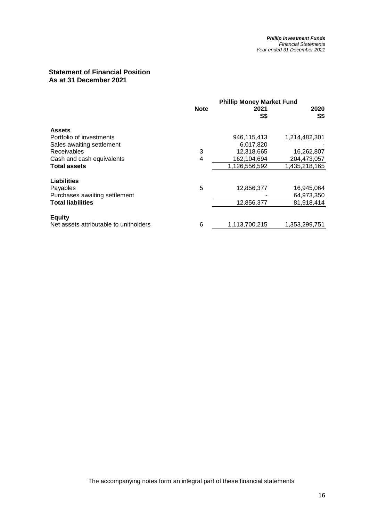## **Statement of Financial Position As at 31 December 2021**

|                                        |             | <b>Phillip Money Market Fund</b> |               |  |  |
|----------------------------------------|-------------|----------------------------------|---------------|--|--|
|                                        | <b>Note</b> | 2021<br>S\$                      | 2020<br>S\$   |  |  |
| <b>Assets</b>                          |             |                                  |               |  |  |
| Portfolio of investments               |             | 946,115,413                      | 1,214,482,301 |  |  |
| Sales awaiting settlement              |             | 6,017,820                        |               |  |  |
| <b>Receivables</b>                     | 3           | 12,318,665                       | 16,262,807    |  |  |
| Cash and cash equivalents              | 4           | 162,104,694                      | 204,473,057   |  |  |
| <b>Total assets</b>                    |             | 1,126,556,592                    | 1,435,218,165 |  |  |
| Liabilities                            |             |                                  |               |  |  |
| Payables                               | 5           | 12,856,377                       | 16,945,064    |  |  |
| Purchases awaiting settlement          |             |                                  | 64,973,350    |  |  |
| <b>Total liabilities</b>               |             | 12,856,377                       | 81,918,414    |  |  |
| <b>Equity</b>                          |             |                                  |               |  |  |
| Net assets attributable to unitholders | 6           | 1,113,700,215                    | 1,353,299,751 |  |  |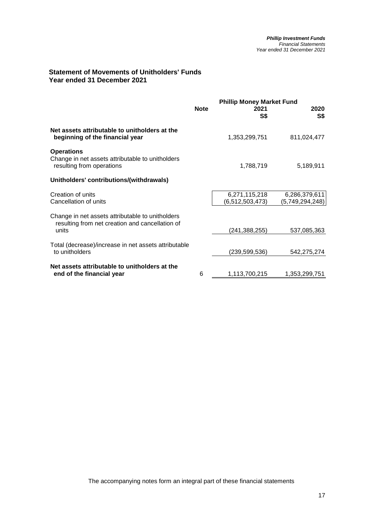## **Statement of Movements of Unitholders' Funds Year ended 31 December 2021**

|                                                                                                              |             | <b>Phillip Money Market Fund</b>    |                                  |
|--------------------------------------------------------------------------------------------------------------|-------------|-------------------------------------|----------------------------------|
|                                                                                                              | <b>Note</b> | 2021<br>S\$                         | 2020<br>S\$                      |
| Net assets attributable to unitholders at the<br>beginning of the financial year                             |             | 1,353,299,751                       | 811,024,477                      |
| <b>Operations</b><br>Change in net assets attributable to unitholders<br>resulting from operations           |             | 1,788,719                           | 5,189,911                        |
| Unitholders' contributions/(withdrawals)                                                                     |             |                                     |                                  |
| Creation of units<br>Cancellation of units                                                                   |             | 6,271,115,218<br>(6, 512, 503, 473) | 6,286,379,611<br>(5,749,294,248) |
| Change in net assets attributable to unitholders<br>resulting from net creation and cancellation of<br>units |             | (241,388,255)                       | 537,085,363                      |
| Total (decrease)/increase in net assets attributable<br>to unitholders                                       |             | (239,599,536)                       | 542,275,274                      |
| Net assets attributable to unitholders at the<br>end of the financial year                                   | 6           | 1,113,700,215                       | 1,353,299,751                    |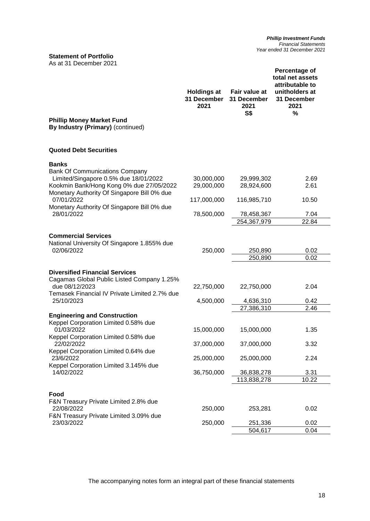As at 31 December 2021

|                                                                                                       | <b>Holdings at</b><br>31 December<br>2021 | Fair value at<br>31 December<br>2021<br><b>S\$</b> | Percentage of<br>total net assets<br>attributable to<br>unitholders at<br>31 December<br>2021<br>% |
|-------------------------------------------------------------------------------------------------------|-------------------------------------------|----------------------------------------------------|----------------------------------------------------------------------------------------------------|
| <b>Phillip Money Market Fund</b><br>By Industry (Primary) (continued)                                 |                                           |                                                    |                                                                                                    |
| <b>Quoted Debt Securities</b>                                                                         |                                           |                                                    |                                                                                                    |
| <b>Banks</b><br><b>Bank Of Communications Company</b><br>Limited/Singapore 0.5% due 18/01/2022        | 30,000,000                                | 29,999,302                                         | 2.69                                                                                               |
| Kookmin Bank/Hong Kong 0% due 27/05/2022<br>Monetary Authority Of Singapore Bill 0% due               | 29,000,000                                | 28,924,600                                         | 2.61                                                                                               |
| 07/01/2022<br>Monetary Authority Of Singapore Bill 0% due                                             | 117,000,000                               | 116,985,710                                        | 10.50                                                                                              |
| 28/01/2022                                                                                            | 78,500,000                                | 78,458,367<br>254,367,979                          | 7.04<br>22.84                                                                                      |
| <b>Commercial Services</b><br>National University Of Singapore 1.855% due<br>02/06/2022               | 250,000                                   | 250,890<br>250,890                                 | 0.02<br>0.02                                                                                       |
| <b>Diversified Financial Services</b><br>Cagamas Global Public Listed Company 1.25%<br>due 08/12/2023 | 22,750,000                                | 22,750,000                                         | 2.04                                                                                               |
| Temasek Financial IV Private Limited 2.7% due<br>25/10/2023                                           | 4,500,000                                 | 4,636,310<br>27,386,310                            | 0.42<br>2.46                                                                                       |
| <b>Engineering and Construction</b><br>Keppel Corporation Limited 0.58% due                           |                                           |                                                    |                                                                                                    |
| 01/03/2022<br>Keppel Corporation Limited 0.58% due<br>22/02/2022                                      | 15,000,000<br>37,000,000                  | 15,000,000<br>37,000,000                           | 1.35<br>3.32                                                                                       |
| Keppel Corporation Limited 0.64% due<br>23/6/2022                                                     | 25,000,000                                | 25,000,000                                         | 2.24                                                                                               |
| Keppel Corporation Limited 3.145% due<br>14/02/2022                                                   | 36,750,000                                | 36,838,278<br>113,838,278                          | 3.31<br>10.22                                                                                      |
| Food                                                                                                  |                                           |                                                    |                                                                                                    |
| F&N Treasury Private Limited 2.8% due<br>22/08/2022<br>F&N Treasury Private Limited 3.09% due         | 250,000                                   | 253,281                                            | 0.02                                                                                               |
| 23/03/2022                                                                                            | 250,000                                   | 251,336<br>504,617                                 | 0.02<br>0.04                                                                                       |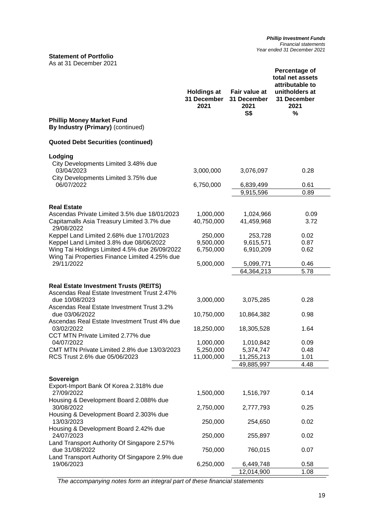As at 31 December 2021

|                                                                                                                                                                                                                                      | <b>Holdings at</b><br>31 December<br>2021 | Fair value at<br>31 December<br>2021<br><b>S\$</b> | Percentage of<br>total net assets<br>attributable to<br>unitholders at<br>31 December<br>2021<br>% |
|--------------------------------------------------------------------------------------------------------------------------------------------------------------------------------------------------------------------------------------|-------------------------------------------|----------------------------------------------------|----------------------------------------------------------------------------------------------------|
| <b>Phillip Money Market Fund</b><br>By Industry (Primary) (continued)                                                                                                                                                                |                                           |                                                    |                                                                                                    |
| <b>Quoted Debt Securities (continued)</b>                                                                                                                                                                                            |                                           |                                                    |                                                                                                    |
| Lodging<br>City Developments Limited 3.48% due<br>03/04/2023<br>City Developments Limited 3.75% due                                                                                                                                  | 3,000,000                                 | 3,076,097                                          | 0.28                                                                                               |
| 06/07/2022                                                                                                                                                                                                                           | 6,750,000                                 | 6,839,499                                          | 0.61                                                                                               |
|                                                                                                                                                                                                                                      |                                           | 9,915,596                                          | 0.89                                                                                               |
| <b>Real Estate</b><br>Ascendas Private Limited 3.5% due 18/01/2023<br>Capitamalls Asia Treasury Limited 3.7% due<br>29/08/2022                                                                                                       | 1,000,000<br>40,750,000                   | 1,024,966<br>41,459,968                            | 0.09<br>3.72                                                                                       |
| Keppel Land Limited 2.68% due 17/01/2023                                                                                                                                                                                             | 250,000                                   | 253,728                                            | 0.02                                                                                               |
| Keppel Land Limited 3.8% due 08/06/2022<br>Wing Tai Holdings Limited 4.5% due 26/09/2022                                                                                                                                             | 9,500,000<br>6,750,000                    | 9,615,571<br>6,910,209                             | 0.87<br>0.62                                                                                       |
| Wing Tai Properties Finance Limited 4.25% due<br>29/11/2022                                                                                                                                                                          | 5,000,000                                 | 5,099,771                                          | 0.46                                                                                               |
|                                                                                                                                                                                                                                      |                                           | 64,364,213                                         | 5.78                                                                                               |
| <b>Real Estate Investment Trusts (REITS)</b><br>Ascendas Real Estate Investment Trust 2.47%<br>due 10/08/2023<br><b>Ascendas Real Estate Investment Trust 3.2%</b><br>due 03/06/2022<br>Ascendas Real Estate Investment Trust 4% due | 3,000,000<br>10,750,000                   | 3,075,285<br>10,864,382                            | 0.28<br>0.98                                                                                       |
| 03/02/2022<br>CCT MTN Private Limited 2.77% due                                                                                                                                                                                      | 18,250,000                                | 18,305,528                                         | 1.64                                                                                               |
| 04/07/2022<br>CMT MTN Private Limited 2.8% due 13/03/2023<br>RCS Trust 2.6% due 05/06/2023                                                                                                                                           | 1,000,000<br>5,250,000<br>11,000,000      | 1,010,842<br>5,374,747<br>11,255,213<br>49,885,997 | 0.09<br>0.48<br>1.01<br>4.48                                                                       |
| Sovereign<br>Export-Import Bank Of Korea 2.318% due                                                                                                                                                                                  |                                           |                                                    |                                                                                                    |
| 27/09/2022<br>Housing & Development Board 2.088% due                                                                                                                                                                                 | 1,500,000                                 | 1,516,797                                          | 0.14                                                                                               |
| 30/08/2022<br>Housing & Development Board 2.303% due                                                                                                                                                                                 | 2,750,000                                 | 2,777,793                                          | 0.25                                                                                               |
| 13/03/2023<br>Housing & Development Board 2.42% due                                                                                                                                                                                  | 250,000                                   | 254,650                                            | 0.02                                                                                               |
| 24/07/2023<br>Land Transport Authority Of Singapore 2.57%                                                                                                                                                                            | 250,000                                   | 255,897                                            | 0.02                                                                                               |
| due 31/08/2022<br>Land Transport Authority Of Singapore 2.9% due                                                                                                                                                                     | 750,000                                   | 760,015                                            | 0.07                                                                                               |
| 19/06/2023                                                                                                                                                                                                                           | 6,250,000                                 | 6,449,748<br>12,014,900                            | 0.58<br>1.08                                                                                       |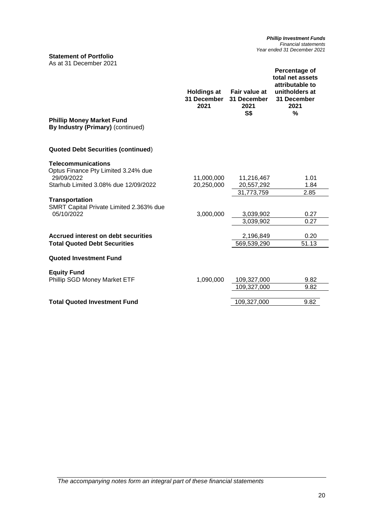As at 31 December 2021

| <b>Holdings at</b><br>31 December<br>2021 | Fair value at<br>31 December<br>2021               | Percentage of<br>total net assets<br>attributable to<br>unitholders at<br>31 December<br>2021<br>%             |
|-------------------------------------------|----------------------------------------------------|----------------------------------------------------------------------------------------------------------------|
|                                           |                                                    |                                                                                                                |
|                                           |                                                    |                                                                                                                |
|                                           |                                                    |                                                                                                                |
|                                           |                                                    | 1.01<br>1.84                                                                                                   |
|                                           |                                                    | 2.85                                                                                                           |
|                                           |                                                    |                                                                                                                |
|                                           | 3,039,902                                          | 0.27                                                                                                           |
|                                           |                                                    | 0.27                                                                                                           |
|                                           | 2,196,849                                          | 0.20                                                                                                           |
|                                           |                                                    | 51.13                                                                                                          |
|                                           |                                                    |                                                                                                                |
|                                           |                                                    |                                                                                                                |
|                                           |                                                    | 9.82                                                                                                           |
|                                           |                                                    | 9.82                                                                                                           |
|                                           | 109,327,000                                        | 9.82                                                                                                           |
|                                           | 11,000,000<br>20,250,000<br>3,000,000<br>1,090,000 | <b>S\$</b><br>11,216,467<br>20,557,292<br>31,773,759<br>3,039,902<br>569,539,290<br>109,327,000<br>109,327,000 |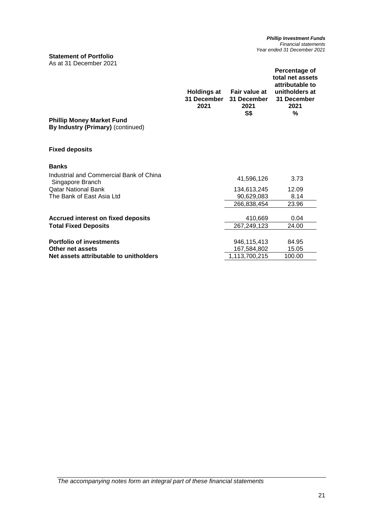As at 31 December 2021

|                                                                       | <b>Holdings at</b><br><b>31 December</b><br>2021 | Fair value at<br>31 December<br>2021<br>S\$ | Percentage of<br>total net assets<br>attributable to<br>unitholders at<br>31 December<br>2021<br>% |
|-----------------------------------------------------------------------|--------------------------------------------------|---------------------------------------------|----------------------------------------------------------------------------------------------------|
| <b>Phillip Money Market Fund</b><br>By Industry (Primary) (continued) |                                                  |                                             |                                                                                                    |
| <b>Fixed deposits</b>                                                 |                                                  |                                             |                                                                                                    |
| <b>Banks</b>                                                          |                                                  |                                             |                                                                                                    |
| Industrial and Commercial Bank of China<br>Singapore Branch           |                                                  | 41,596,126                                  | 3.73                                                                                               |
| <b>Qatar National Bank</b>                                            |                                                  | 134,613,245                                 | 12.09                                                                                              |
| The Bank of East Asia Ltd                                             |                                                  | 90,629,083                                  | 8.14                                                                                               |
|                                                                       |                                                  | 266,838,454                                 | 23.96                                                                                              |
| <b>Accrued interest on fixed deposits</b>                             |                                                  | 410,669                                     | 0.04                                                                                               |
| <b>Total Fixed Deposits</b>                                           |                                                  | 267,249,123                                 | 24.00                                                                                              |
|                                                                       |                                                  |                                             |                                                                                                    |
| <b>Portfolio of investments</b>                                       |                                                  | 946,115,413                                 | 84.95                                                                                              |
| Other net assets                                                      |                                                  | 167,584,802                                 | 15.05                                                                                              |
| Net assets attributable to unitholders                                |                                                  | 1,113,700,215                               | 100.00                                                                                             |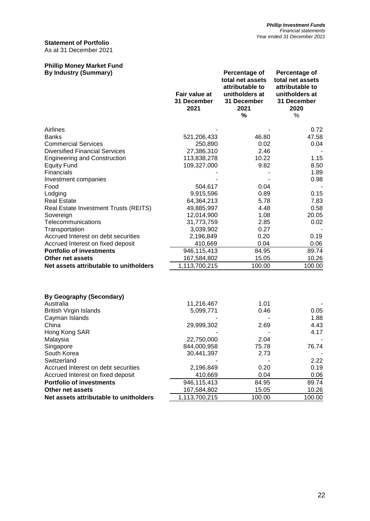As at 31 December 2021

#### **Phillip Money Market Fund By Industry (Summary)**

| <b>By Industry (Summary)</b><br>Fair value at<br>31 December<br>2021 |                          | Percentage of<br>total net assets<br>attributable to<br>unitholders at<br>31 December<br>2021<br>% | <b>Percentage of</b><br>total net assets<br>attributable to<br>unitholders at<br>31 December<br>2020<br>% |
|----------------------------------------------------------------------|--------------------------|----------------------------------------------------------------------------------------------------|-----------------------------------------------------------------------------------------------------------|
| Airlines                                                             |                          |                                                                                                    | 0.72                                                                                                      |
| <b>Banks</b>                                                         | 521,206,433              | 46.80                                                                                              | 47.58                                                                                                     |
| <b>Commercial Services</b>                                           | 250,890                  | 0.02                                                                                               | 0.04                                                                                                      |
| <b>Diversified Financial Services</b>                                | 27,386,310               | 2.46                                                                                               |                                                                                                           |
| <b>Engineering and Construction</b>                                  | 113,838,278              | 10.22                                                                                              | 1.15                                                                                                      |
| <b>Equity Fund</b>                                                   | 109,327,000              | 9.82                                                                                               | 8.50                                                                                                      |
| Financials                                                           |                          |                                                                                                    | 1.89                                                                                                      |
| Investment companies                                                 |                          |                                                                                                    | 0.98                                                                                                      |
| Food                                                                 | 504,617                  | 0.04                                                                                               |                                                                                                           |
| Lodging                                                              | 9,915,596                | 0.89                                                                                               | 0.15                                                                                                      |
| <b>Real Estate</b><br>Real Estate Investment Trusts (REITS)          | 64,364,213<br>49,885,997 | 5.78<br>4.48                                                                                       | 7.83<br>0.58                                                                                              |
| Sovereign                                                            | 12,014,900               | 1.08                                                                                               | 20.05                                                                                                     |
| Telecommunications                                                   | 31,773,759               | 2.85                                                                                               | 0.02                                                                                                      |
| Transportation                                                       | 3,039,902                | 0.27                                                                                               |                                                                                                           |
| Accrued Interest on debt securities                                  | 2,196,849                | 0.20                                                                                               | 0.19                                                                                                      |
| Accrued Interest on fixed deposit                                    | 410,669                  | 0.04                                                                                               | 0.06                                                                                                      |
| <b>Portfolio of investments</b>                                      | 946,115,413              | 84.95                                                                                              | 89.74                                                                                                     |
| <b>Other net assets</b>                                              | 167,584,802              | 15.05                                                                                              | 10.26                                                                                                     |
| Net assets attributable to unitholders                               | 1,113,700,215            | 100.00                                                                                             | 100.00                                                                                                    |
| <b>By Geography (Secondary)</b>                                      |                          |                                                                                                    |                                                                                                           |
| Australia                                                            | 11,216,467               | 1.01                                                                                               |                                                                                                           |
| <b>British Virgin Islands</b>                                        | 5,099,771                | 0.46                                                                                               | 0.05                                                                                                      |
| Cayman Islands                                                       |                          |                                                                                                    | 1.88                                                                                                      |
| China                                                                | 29,999,302               | 2.69                                                                                               | 4.43                                                                                                      |
| Hong Kong SAR                                                        |                          |                                                                                                    | 4.17                                                                                                      |
| Malaysia                                                             | 22,750,000               | 2.04                                                                                               |                                                                                                           |
| Singapore                                                            | 844,000,958              | 75.78                                                                                              | 76.74                                                                                                     |
| South Korea                                                          | 30,441,397               | 2.73                                                                                               |                                                                                                           |
| Switzerland                                                          |                          |                                                                                                    | 2.22                                                                                                      |
| Accrued Interest on debt securities                                  | 2,196,849                | 0.20                                                                                               | 0.19                                                                                                      |
| Accrued Interest on fixed deposit                                    | 410,669                  | 0.04                                                                                               | 0.06                                                                                                      |
| <b>Portfolio of investments</b>                                      | 946,115,413              | 84.95                                                                                              | 89.74                                                                                                     |
| Other net assets                                                     | 167,584,802              | 15.05                                                                                              | 10.26                                                                                                     |
| Net assets attributable to unitholders                               | 1,113,700,215            | 100.00                                                                                             | 100.00                                                                                                    |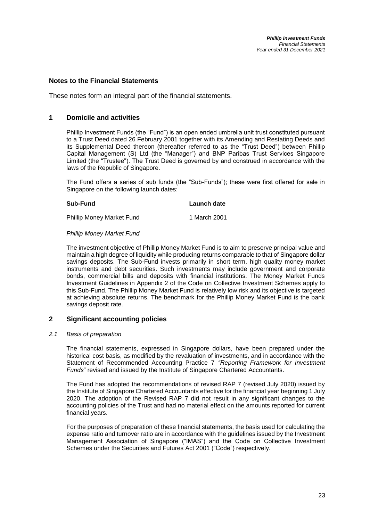## **Notes to the Financial Statements**

These notes form an integral part of the financial statements.

#### **1 Domicile and activities**

Phillip Investment Funds (the "Fund") is an open ended umbrella unit trust constituted pursuant to a Trust Deed dated 26 February 2001 together with its Amending and Restating Deeds and its Supplemental Deed thereon (thereafter referred to as the "Trust Deed") between Phillip Capital Management (S) Ltd (the "Manager") and BNP Paribas Trust Services Singapore Limited (the "Trustee"). The Trust Deed is governed by and construed in accordance with the laws of the Republic of Singapore.

The Fund offers a series of sub funds (the "Sub-Funds"); these were first offered for sale in Singapore on the following launch dates:

#### **Sub-Fund Launch date**

Phillip Money Market Fund 1 March 2001

#### *Phillip Money Market Fund*

The investment objective of Phillip Money Market Fund is to aim to preserve principal value and maintain a high degree of liquidity while producing returns comparable to that of Singapore dollar savings deposits. The Sub-Fund invests primarily in short term, high quality money market instruments and debt securities. Such investments may include government and corporate bonds, commercial bills and deposits with financial institutions. The Money Market Funds Investment Guidelines in Appendix 2 of the Code on Collective Investment Schemes apply to this Sub-Fund. The Phillip Money Market Fund is relatively low risk and its objective is targeted at achieving absolute returns. The benchmark for the Phillip Money Market Fund is the bank savings deposit rate.

## **2 Significant accounting policies**

#### *2.1 Basis of preparation*

The financial statements, expressed in Singapore dollars, have been prepared under the historical cost basis, as modified by the revaluation of investments, and in accordance with the Statement of Recommended Accounting Practice 7 *"Reporting Framework for Investment Funds"* revised and issued by the Institute of Singapore Chartered Accountants.

The Fund has adopted the recommendations of revised RAP 7 (revised July 2020) issued by the Institute of Singapore Chartered Accountants effective for the financial year beginning 1 July 2020. The adoption of the Revised RAP 7 did not result in any significant changes to the accounting policies of the Trust and had no material effect on the amounts reported for current financial years.

For the purposes of preparation of these financial statements, the basis used for calculating the expense ratio and turnover ratio are in accordance with the guidelines issued by the Investment Management Association of Singapore ("IMAS") and the Code on Collective Investment Schemes under the Securities and Futures Act 2001 ("Code") respectively.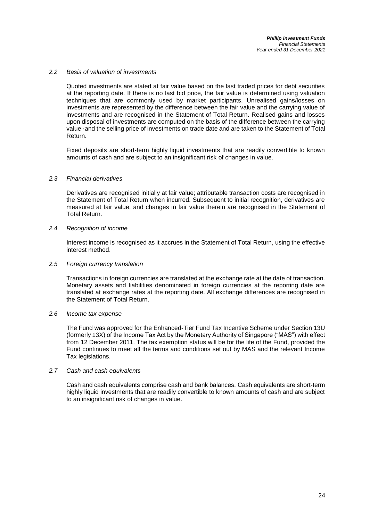#### *2.2 Basis of valuation of investments*

Quoted investments are stated at fair value based on the last traded prices for debt securities at the reporting date. If there is no last bid price, the fair value is determined using valuation techniques that are commonly used by market participants. Unrealised gains/losses on investments are represented by the difference between the fair value and the carrying value of investments and are recognised in the Statement of Total Return. Realised gains and losses upon disposal of investments are computed on the basis of the difference between the carrying value ·and the selling price of investments on trade date and are taken to the Statement of Total Return.

Fixed deposits are short-term highly liquid investments that are readily convertible to known amounts of cash and are subject to an insignificant risk of changes in value.

#### *2.3 Financial derivatives*

Derivatives are recognised initially at fair value; attributable transaction costs are recognised in the Statement of Total Return when incurred. Subsequent to initial recognition, derivatives are measured at fair value, and changes in fair value therein are recognised in the Statement of Total Return.

#### *2.4 Recognition of income*

Interest income is recognised as it accrues in the Statement of Total Return, using the effective interest method.

#### *2.5 Foreign currency translation*

Transactions in foreign currencies are translated at the exchange rate at the date of transaction. Monetary assets and liabilities denominated in foreign currencies at the reporting date are translated at exchange rates at the reporting date. All exchange differences are recognised in the Statement of Total Return.

#### *2.6 Income tax expense*

The Fund was approved for the Enhanced-Tier Fund Tax Incentive Scheme under Section 13U (formerly 13X) of the Income Tax Act by the Monetary Authority of Singapore ("MAS") with effect from 12 December 2011. The tax exemption status will be for the life of the Fund, provided the Fund continues to meet all the terms and conditions set out by MAS and the relevant Income Tax legislations.

#### *2.7 Cash and cash equivalents*

Cash and cash equivalents comprise cash and bank balances. Cash equivalents are short-term highly liquid investments that are readily convertible to known amounts of cash and are subject to an insignificant risk of changes in value.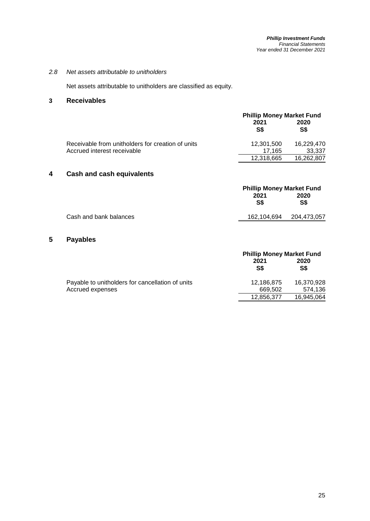#### *2.8 Net assets attributable to unitholders*

Net assets attributable to unitholders are classified as equity.

## **3 Receivables**

|                                                   | <b>Phillip Money Market Fund</b> |             |  |
|---------------------------------------------------|----------------------------------|-------------|--|
|                                                   | 2021<br>S\$                      | 2020<br>S\$ |  |
| Receivable from unitholders for creation of units | 12.301.500                       | 16.229.470  |  |
| Accrued interest receivable                       | 17.165                           | 33,337      |  |
|                                                   | 12.318.665                       | 16,262,807  |  |

## **4 Cash and cash equivalents**

|                        |             | <b>Phillip Money Market Fund</b> |  |  |
|------------------------|-------------|----------------------------------|--|--|
|                        | 2021<br>S\$ | 2020<br>S\$                      |  |  |
| Cash and bank balances | 162.104.694 | 204.473.057                      |  |  |
|                        |             |                                  |  |  |

## **5 Payables**

|                                                  | <b>Phillip Money Market Fund</b> |             |  |
|--------------------------------------------------|----------------------------------|-------------|--|
|                                                  | 2021<br>S\$                      | 2020<br>S\$ |  |
| Payable to unitholders for cancellation of units | 12.186.875                       | 16.370.928  |  |
| Accrued expenses                                 | 669.502                          | 574.136     |  |
|                                                  | 12,856,377                       | 16,945,064  |  |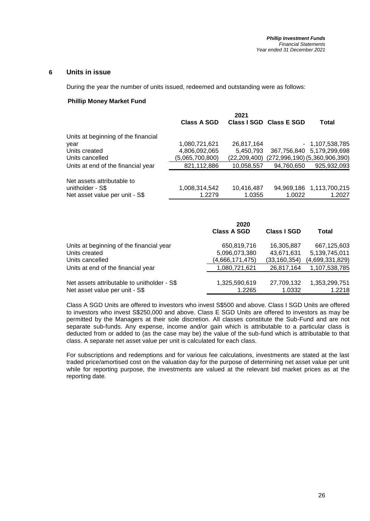## **6 Units in issue**

During the year the number of units issued, redeemed and outstanding were as follows:

#### **Phillip Money Market Fund**

|                                     |                    | 2021           |                         |                                   |
|-------------------------------------|--------------------|----------------|-------------------------|-----------------------------------|
|                                     | <b>Class A SGD</b> |                | Class I SGD Class E SGD | Total                             |
| Units at beginning of the financial |                    |                |                         |                                   |
| year                                | 1,080,721,621      | 26,817,164     |                         | $-1,107,538,785$                  |
| Units created                       | 4,806,092,065      | 5,450,793      | 367,756,840             | 5,179,299,698                     |
| Units cancelled                     | (5,065,700,800)    | (22, 209, 400) |                         | $(272,996,190)$ $(5,360,906,390)$ |
| Units at end of the financial year  | 821,112,886        | 10,058,557     | 94,760,650              | 925,932,093                       |
| Net assets attributable to          |                    |                |                         |                                   |
| unitholder - S\$                    | 1,008,314,542      | 10,416,487     |                         | 94,969,186 1,113,700,215          |
| Net asset value per unit - S\$      | 1.2279             | 1.0355         | 1.0022                  | 1.2027                            |

|                                             | 2020               |                    |                 |
|---------------------------------------------|--------------------|--------------------|-----------------|
|                                             | <b>Class A SGD</b> | <b>Class I SGD</b> | Total           |
| Units at beginning of the financial year    | 650,819,716        | 16,305,887         | 667,125,603     |
| Units created                               | 5,096,073,380      | 43,671,631         | 5,139,745,011   |
| Units cancelled                             | (4,666,171,475)    | (33,160,354)       | (4,699,331,829) |
| Units at end of the financial year          | 1,080,721,621      | 26,817,164         | 1,107,538,785   |
| Net assets attributable to unitholder - S\$ | 1,325,590,619      | 27,709,132         | 1,353,299,751   |
| Net asset value per unit - S\$              | 1.2265             | 1.0332             | 1.2218          |

Class A SGD Units are offered to investors who invest S\$500 and above. Class I SGD Units are offered to investors who invest S\$250,000 and above. Class E SGD Units are offered to investors as may be permitted by the Managers at their sole discretion. All classes constitute the Sub-Fund and are not separate sub-funds. Any expense, income and/or gain which is attributable to a particular class is deducted from or added to (as the case may be) the value of the sub-fund which is attributable to that class. A separate net asset value per unit is calculated for each class.

For subscriptions and redemptions and for various fee calculations, investments are stated at the last traded price/amortised cost on the valuation day for the purpose of determining net asset value per unit while for reporting purpose, the investments are valued at the relevant bid market prices as at the reporting date.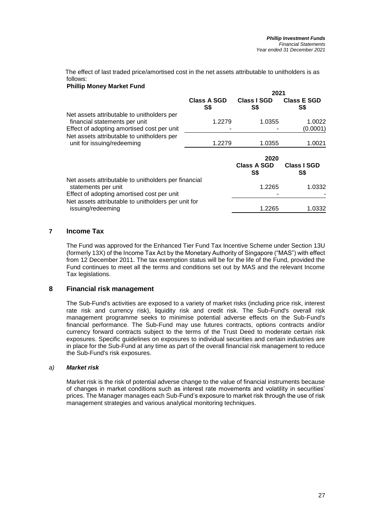The effect of last traded price/amortised cost in the net assets attributable to unitholders is as follows:

## **Phillip Money Market Fund**

|                                                                                                                                                                                  |                           | 2021                       |                           |
|----------------------------------------------------------------------------------------------------------------------------------------------------------------------------------|---------------------------|----------------------------|---------------------------|
|                                                                                                                                                                                  | <b>Class A SGD</b><br>S\$ | Class I SGD<br>S\$         | <b>Class E SGD</b><br>S\$ |
| Net assets attributable to unitholders per<br>financial statements per unit                                                                                                      | 1.2279                    | 1.0355                     | 1.0022                    |
| Effect of adopting amortised cost per unit                                                                                                                                       |                           |                            | (0.0001)                  |
| Net assets attributable to unitholders per<br>unit for issuing/redeeming                                                                                                         | 1.2279                    | 1.0355                     | 1.0021                    |
|                                                                                                                                                                                  |                           | 2020<br><b>Class A SGD</b> | <b>Class I SGD</b>        |
|                                                                                                                                                                                  |                           | S\$                        | S\$                       |
| Net assets attributable to unitholders per financial<br>statements per unit<br>Effect of adopting amortised cost per unit<br>Net assets attributable to unitholders per unit for |                           | 1.2265                     | 1.0332                    |

## **7 Income Tax**

The Fund was approved for the Enhanced Tier Fund Tax Incentive Scheme under Section 13U (formerly 13X) of the Income Tax Act by the Monetary Authority of Singapore ("MAS") with effect from 12 December 2011. The tax exemption status will be for the life of the Fund, provided the Fund continues to meet all the terms and conditions set out by MAS and the relevant Income Tax legislations.

#### **8 Financial risk management**

The Sub-Fund's activities are exposed to a variety of market risks (including price risk, interest rate risk and currency risk), liquidity risk and credit risk. The Sub-Fund's overall risk management programme seeks to minimise potential adverse effects on the Sub-Fund's financial performance. The Sub-Fund may use futures contracts, options contracts and/or currency forward contracts subject to the terms of the Trust Deed to moderate certain risk exposures. Specific guidelines on exposures to individual securities and certain industries are in place for the Sub-Fund at any time as part of the overall financial risk management to reduce the Sub-Fund's risk exposures.

#### *a) Market risk*

Market risk is the risk of potential adverse change to the value of financial instruments because of changes in market conditions such as interest rate movements and volatility in securities' prices. The Manager manages each Sub-Fund's exposure to market risk through the use of risk management strategies and various analytical monitoring techniques.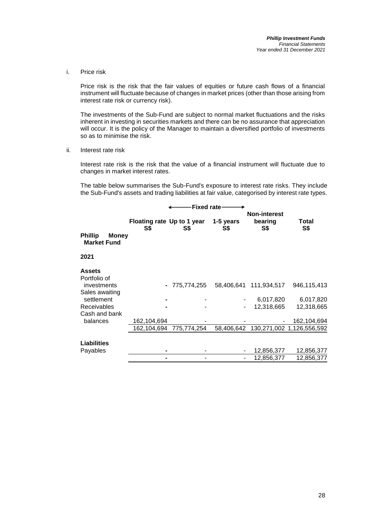i. Price risk

Price risk is the risk that the fair values of equities or future cash flows of a financial instrument will fluctuate because of changes in market prices (other than those arising from interest rate risk or currency risk).

The investments of the Sub-Fund are subject to normal market fluctuations and the risks inherent in investing in securities markets and there can be no assurance that appreciation will occur. It is the policy of the Manager to maintain a diversified portfolio of investments so as to minimise the risk.

ii. Interest rate risk

Interest rate risk is the risk that the value of a financial instrument will fluctuate due to changes in market interest rates.

The table below summarises the Sub-Fund's exposure to interest rate risks. They include the Sub-Fund's assets and trading liabilities at fair value, categorised by interest rate types.

|                                                      |                                   | Fixed rate- |                  |                     |                           |
|------------------------------------------------------|-----------------------------------|-------------|------------------|---------------------|---------------------------|
|                                                      |                                   |             |                  | <b>Non-interest</b> |                           |
|                                                      | Floating rate Up to 1 year<br>S\$ | S\$         | 1-5 years<br>S\$ | bearing<br>S\$      | Total<br>S\$              |
| <b>Phillip</b><br><b>Money</b><br><b>Market Fund</b> |                                   |             |                  |                     |                           |
| 2021                                                 |                                   |             |                  |                     |                           |
| <b>Assets</b>                                        |                                   |             |                  |                     |                           |
| Portfolio of                                         |                                   |             |                  |                     |                           |
| investments                                          |                                   | 775,774,255 | 58,406,641       | 111,934,517         | 946,115,413               |
| Sales awaiting                                       |                                   |             |                  |                     |                           |
| settlement                                           |                                   |             |                  | 6,017,820           | 6,017,820                 |
| <b>Receivables</b>                                   |                                   |             |                  | 12,318,665          | 12,318,665                |
| Cash and bank                                        |                                   |             |                  |                     |                           |
| balances                                             | 162,104,694                       |             |                  |                     | 162,104,694               |
|                                                      | 162.104.694                       | 775,774,254 | 58,406,642       |                     | 130,271,002 1,126,556,592 |
|                                                      |                                   |             |                  |                     |                           |
| Liabilities<br>Payables                              |                                   |             |                  | 12,856,377          | 12,856,377                |
|                                                      |                                   |             |                  | 12,856,377          | 12,856,377                |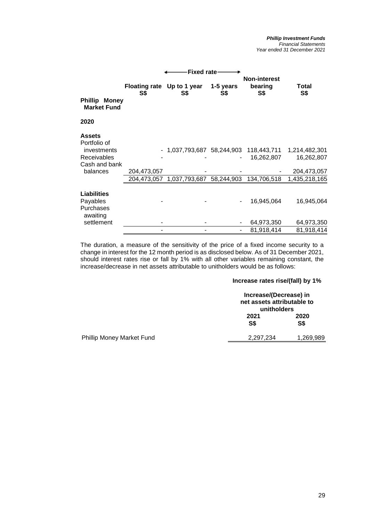|                                                                                                 |                                   | Fixed rate-                               |                  |                                          |                                                             |
|-------------------------------------------------------------------------------------------------|-----------------------------------|-------------------------------------------|------------------|------------------------------------------|-------------------------------------------------------------|
| <b>Phillip Money</b><br><b>Market Fund</b>                                                      | Floating rate Up to 1 year<br>S\$ | S\$                                       | 1-5 years<br>S\$ | <b>Non-interest</b><br>bearing<br>S\$    | Total<br><b>S\$</b>                                         |
| 2020                                                                                            |                                   |                                           |                  |                                          |                                                             |
| <b>Assets</b><br>Portfolio of<br>investments<br><b>Receivables</b><br>Cash and bank<br>balances | 204,473,057<br>204,473,057        | 1,037,793,687 58,244,903<br>1,037,793,687 | 58,244,903       | 118,443,711<br>16,262,807<br>134,706,518 | 1,214,482,301<br>16,262,807<br>204,473,057<br>1,435,218,165 |
| <b>Liabilities</b><br>Payables<br>Purchases<br>awaiting                                         |                                   |                                           |                  | 16,945,064                               | 16,945,064                                                  |
| settlement                                                                                      |                                   |                                           |                  | 64,973,350<br>81,918,414                 | 64,973,350<br>81,918,414                                    |

The duration, a measure of the sensitivity of the price of a fixed income security to a change in interest for the 12 month period is as disclosed below. As of 31 December 2021, should interest rates rise or fall by 1% with all other variables remaining constant, the increase/decrease in net assets attributable to unitholders would be as follows:

#### **Increase rates rise/(fall) by 1%**

|                                  | Increase/(Decrease) in<br>net assets attributable to<br>unitholders |                    |  |
|----------------------------------|---------------------------------------------------------------------|--------------------|--|
|                                  | 2021<br><b>S\$</b>                                                  | 2020<br><b>S\$</b> |  |
| <b>Phillip Money Market Fund</b> | 2,297,234                                                           | 1,269,989          |  |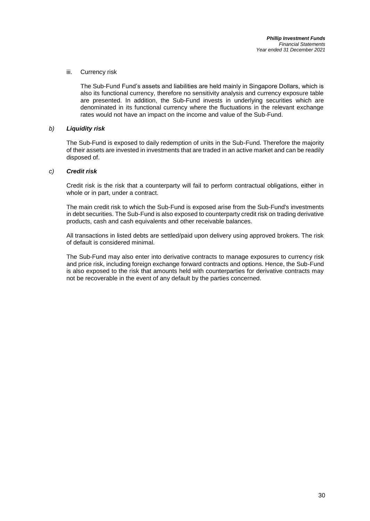#### iii. Currency risk

The Sub-Fund Fund's assets and liabilities are held mainly in Singapore Dollars, which is also its functional currency, therefore no sensitivity analysis and currency exposure table are presented. In addition, the Sub-Fund invests in underlying securities which are denominated in its functional currency where the fluctuations in the relevant exchange rates would not have an impact on the income and value of the Sub-Fund.

#### *b) Liquidity risk*

The Sub-Fund is exposed to daily redemption of units in the Sub-Fund. Therefore the majority of their assets are invested in investments that are traded in an active market and can be readily disposed of.

#### *c) Credit risk*

Credit risk is the risk that a counterparty will fail to perform contractual obligations, either in whole or in part, under a contract.

The main credit risk to which the Sub-Fund is exposed arise from the Sub-Fund's investments in debt securities. The Sub-Fund is also exposed to counterparty credit risk on trading derivative products, cash and cash equivalents and other receivable balances.

All transactions in listed debts are settled/paid upon delivery using approved brokers. The risk of default is considered minimal.

The Sub-Fund may also enter into derivative contracts to manage exposures to currency risk and price risk, including foreign exchange forward contracts and options. Hence, the Sub-Fund is also exposed to the risk that amounts held with counterparties for derivative contracts may not be recoverable in the event of any default by the parties concerned.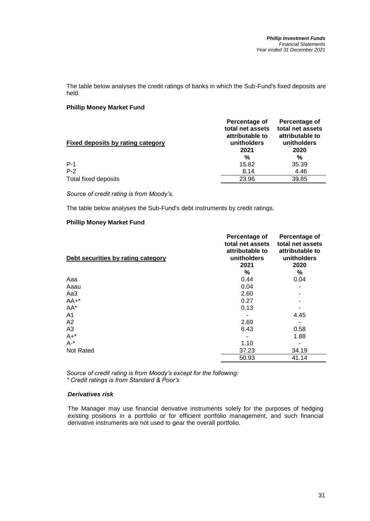The table below analyses the credit ratings of banks in which the Sub-Fund's fixed deposits are held.

#### **Phillip Money Market Fund**

|                                   | Percentage of<br>total net assets<br>attributable to | Percentage of<br>total net assets<br>attributable to |
|-----------------------------------|------------------------------------------------------|------------------------------------------------------|
| Fixed deposits by rating category | unitholders<br>2021                                  | unitholders<br>2020                                  |
|                                   | %                                                    | %                                                    |
| $P-1$                             | 15.82                                                | 35.39                                                |
| $P-2$                             | 8.14                                                 | 4.46                                                 |
| Total fixed deposits              | 23.96                                                | 39.85                                                |

*Source of credit rating is from Moody's.*

The table below analyses the Sub-Fund's debt instruments by credit ratings.

#### **Phillip Money Market Fund**

| Debt securities by rating category | Percentage of<br>total net assets<br>attributable to<br>unitholders<br>2021 | Percentage of<br>total net assets<br>attributable to<br>unitholders<br>2020 |
|------------------------------------|-----------------------------------------------------------------------------|-----------------------------------------------------------------------------|
|                                    | ℅                                                                           | %                                                                           |
| Aaa                                | 0.44                                                                        | 0.04                                                                        |
| Aaau                               | 0.04                                                                        |                                                                             |
| Aa3                                | 2.60                                                                        |                                                                             |
| $AA+*$                             | 0.27                                                                        |                                                                             |
| AA*                                | 0.13                                                                        |                                                                             |
| A <sub>1</sub>                     |                                                                             | 4.45                                                                        |
| A2                                 | 2.69                                                                        |                                                                             |
| A <sub>3</sub>                     | 6.43                                                                        | 0.58                                                                        |
| $A+$ *                             |                                                                             | 1.88                                                                        |
| $A^{-*}$                           | 1.10                                                                        |                                                                             |
| Not Rated                          | 37.23                                                                       | 34.19                                                                       |
|                                    | 50.93                                                                       | 41.14                                                                       |

*Source of credit rating is from Moody's except for the following: \* Credit ratings is from Standard & Poor's* 

#### *Derivatives risk*

The Manager may use financial derivative instruments solely for the purposes of hedging existing positions in a portfolio or for efficient portfolio management, and such financial derivative instruments are not used to gear the overall portfolio.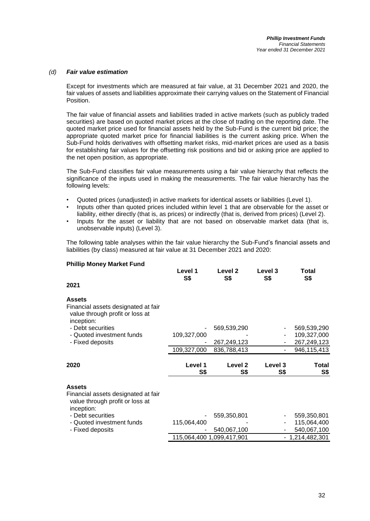#### *(d) Fair value estimation*

Except for investments which are measured at fair value, at 31 December 2021 and 2020, the fair values of assets and liabilities approximate their carrying values on the Statement of Financial Position.

The fair value of financial assets and liabilities traded in active markets (such as publicly traded securities) are based on quoted market prices at the close of trading on the reporting date. The quoted market price used for financial assets held by the Sub-Fund is the current bid price; the appropriate quoted market price for financial liabilities is the current asking price. When the Sub-Fund holds derivatives with offsetting market risks, mid-market prices are used as a basis for establishing fair values for the offsetting risk positions and bid or asking price are applied to the net open position, as appropriate.

The Sub-Fund classifies fair value measurements using a fair value hierarchy that reflects the significance of the inputs used in making the measurements. The fair value hierarchy has the following levels:

- Quoted prices (unadjusted) in active markets for identical assets or liabilities (Level 1).
- Inputs other than quoted prices included within level 1 that are observable for the asset or liability, either directly (that is, as prices) or indirectly (that is, derived from prices) (Level 2).
- Inputs for the asset or liability that are not based on observable market data (that is, unobservable inputs) (Level 3).

The following table analyses within the fair value hierarchy the Sub-Fund's financial assets and liabilities (by class) measured at fair value at 31 December 2021 and 2020:

| <b>Phillip Money Market Fund</b>                                                     | Level 1<br>S\$ | Level 2<br><b>S\$</b>     | Level 3<br>S\$ | Total<br><b>S\$</b> |
|--------------------------------------------------------------------------------------|----------------|---------------------------|----------------|---------------------|
| 2021                                                                                 |                |                           |                |                     |
| <b>Assets</b>                                                                        |                |                           |                |                     |
| Financial assets designated at fair<br>value through profit or loss at<br>inception: |                |                           |                |                     |
| - Debt securities                                                                    |                | 569,539,290               |                | 569,539,290         |
| - Quoted investment funds                                                            | 109,327,000    |                           |                | 109,327,000         |
| - Fixed deposits                                                                     |                | 267,249,123               |                | 267,249,123         |
|                                                                                      | 109,327,000    | 836,788,413               | Ξ.             | 946,115,413         |
| 2020                                                                                 | Level 1<br>S\$ | Level 2<br>S\$            | Level 3<br>S\$ | Total<br>S\$        |
| <b>Assets</b>                                                                        |                |                           |                |                     |
| Financial assets designated at fair<br>value through profit or loss at<br>inception: |                |                           |                |                     |
| - Debt securities                                                                    |                | 559,350,801               |                | 559,350,801         |
| - Quoted investment funds                                                            | 115,064,400    |                           |                | 115,064,400         |
| - Fixed deposits                                                                     |                | 540,067,100               |                | 540,067,100         |
|                                                                                      |                | 115,064,400 1,099,417,901 |                | $-1,214,482,301$    |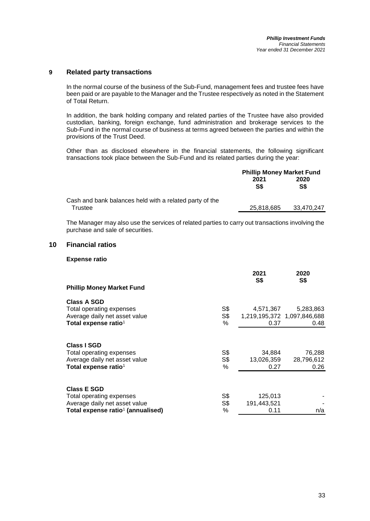## **9 Related party transactions**

In the normal course of the business of the Sub-Fund, management fees and trustee fees have been paid or are payable to the Manager and the Trustee respectively as noted in the Statement of Total Return.

In addition, the bank holding company and related parties of the Trustee have also provided custodian, banking, foreign exchange, fund administration and brokerage services to the Sub-Fund in the normal course of business at terms agreed between the parties and within the provisions of the Trust Deed.

Other than as disclosed elsewhere in the financial statements, the following significant transactions took place between the Sub-Fund and its related parties during the year:

|                                                         | <b>Phillip Money Market Fund</b> |             |
|---------------------------------------------------------|----------------------------------|-------------|
|                                                         | 2021<br>S\$                      | 2020<br>S\$ |
| Cash and bank balances held with a related party of the |                                  |             |
| Trustee                                                 | 25.818.685                       | 33.470.247  |

The Manager may also use the services of related parties to carry out transactions involving the purchase and sale of securities.

#### **10 Financial ratios**

#### **Expense ratio**

|                                                                                                                                  |                 | 2021<br>S\$                    | 2020<br>S\$                                      |
|----------------------------------------------------------------------------------------------------------------------------------|-----------------|--------------------------------|--------------------------------------------------|
| <b>Phillip Money Market Fund</b>                                                                                                 |                 |                                |                                                  |
| <b>Class A SGD</b><br>Total operating expenses<br>Average daily net asset value<br>Total expense ratio <sup>1</sup>              | S\$<br>S\$<br>% | 4,571,367<br>0.37              | 5,283,863<br>1,219,195,372 1,097,846,688<br>0.48 |
| <b>Class I SGD</b><br>Total operating expenses<br>Average daily net asset value<br>Total expense ratio <sup>1</sup>              | S\$<br>S\$<br>% | 34,884<br>13,026,359<br>0.27   | 76,288<br>28,796,612<br>0.26                     |
| <b>Class E SGD</b><br>Total operating expenses<br>Average daily net asset value<br>Total expense ratio <sup>1</sup> (annualised) | S\$<br>S\$<br>% | 125,013<br>191,443,521<br>0.11 | n/a                                              |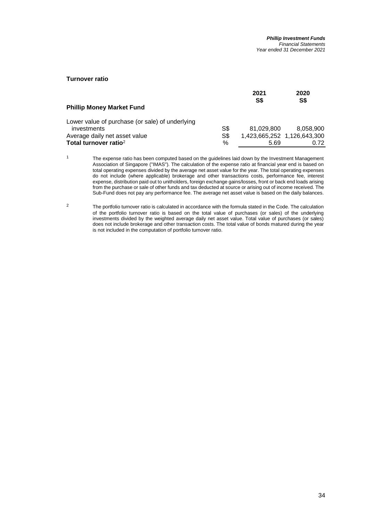#### **Turnover ratio**

| <b>Phillip Money Market Fund</b>                |     | 2021<br>S\$ | 2020<br>S\$                 |
|-------------------------------------------------|-----|-------------|-----------------------------|
| Lower value of purchase (or sale) of underlying |     |             |                             |
| investments                                     | S\$ | 81,029,800  | 8,058,900                   |
| Average daily net asset value                   | S\$ |             | 1,423,665,252 1,126,643,300 |
| Total turnover ratio <sup>2</sup>               | %   | 5.69        | 0.72                        |

 $1$  The expense ratio has been computed based on the guidelines laid down by the Investment Management Association of Singapore ("IMAS"). The calculation of the expense ratio at financial year end is based on total operating expenses divided by the average net asset value for the year. The total operating expenses do not include (where applicable) brokerage and other transactions costs, performance fee, interest expense, distribution paid out to unitholders, foreign exchange gains/losses, front or back end loads arising from the purchase or sale of other funds and tax deducted at source or arising out of income received. The Sub-Fund does not pay any performance fee. The average net asset value is based on the daily balances.

<sup>2</sup> The portfolio turnover ratio is calculated in accordance with the formula stated in the Code. The calculation of the portfolio turnover ratio is based on the total value of purchases (or sales) of the underlying investments divided by the weighted average daily net asset value. Total value of purchases (or sales) does not include brokerage and other transaction costs. The total value of bonds matured during the year is not included in the computation of portfolio turnover ratio.